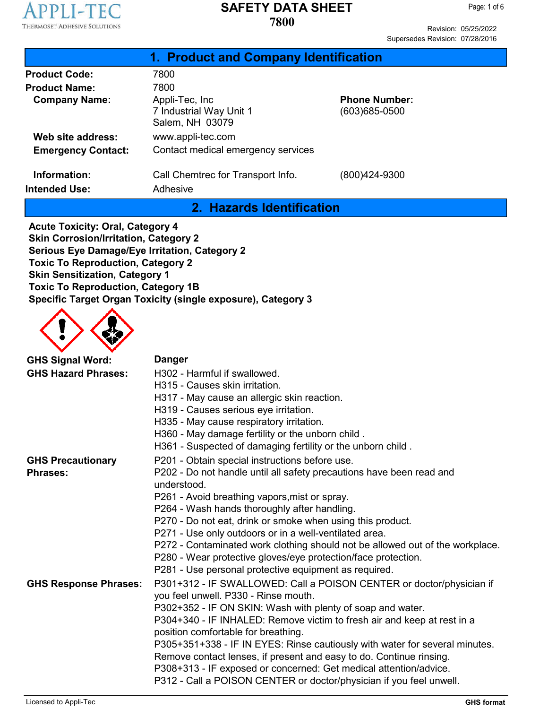

Revision: 05/25/2022 Supersedes Revision: 07/28/2016

| 1. Product and Company Identification |                                                               |                                       |  |
|---------------------------------------|---------------------------------------------------------------|---------------------------------------|--|
| <b>Product Code:</b>                  | 7800                                                          |                                       |  |
| <b>Product Name:</b>                  | 7800                                                          |                                       |  |
| <b>Company Name:</b>                  | Appli-Tec, Inc.<br>7 Industrial Way Unit 1<br>Salem, NH 03079 | <b>Phone Number:</b><br>(603)685-0500 |  |
| Web site address:                     | www.appli-tec.com                                             |                                       |  |
| <b>Emergency Contact:</b>             | Contact medical emergency services                            |                                       |  |
| Information:                          | Call Chemtrec for Transport Info.                             | (800)424-9300                         |  |
| <b>Intended Use:</b>                  | Adhesive                                                      |                                       |  |
| 2. Hazards Identification             |                                                               |                                       |  |
| Acute Teyleltu Ovel Cetagemud         |                                                               |                                       |  |

**Acute Toxicity: Oral, Category 4 Skin Corrosion/Irritation, Category 2 Serious Eye Damage/Eye Irritation, Category 2 Toxic To Reproduction, Category 2 Skin Sensitization, Category 1 Toxic To Reproduction, Category 1B Specific Target Organ Toxicity (single exposure), Category 3**



| <b>GHS Signal Word:</b>      | <b>Danger</b>                                                                                                                                  |
|------------------------------|------------------------------------------------------------------------------------------------------------------------------------------------|
| <b>GHS Hazard Phrases:</b>   | H302 - Harmful if swallowed.                                                                                                                   |
|                              | H315 - Causes skin irritation.                                                                                                                 |
|                              | H317 - May cause an allergic skin reaction.                                                                                                    |
|                              | H319 - Causes serious eye irritation.                                                                                                          |
|                              | H335 - May cause respiratory irritation.                                                                                                       |
|                              | H360 - May damage fertility or the unborn child.                                                                                               |
|                              | H361 - Suspected of damaging fertility or the unborn child.                                                                                    |
| <b>GHS Precautionary</b>     | P201 - Obtain special instructions before use.                                                                                                 |
| <b>Phrases:</b>              | P202 - Do not handle until all safety precautions have been read and                                                                           |
|                              | understood.                                                                                                                                    |
|                              | P261 - Avoid breathing vapors, mist or spray.                                                                                                  |
|                              | P264 - Wash hands thoroughly after handling.                                                                                                   |
|                              | P270 - Do not eat, drink or smoke when using this product.                                                                                     |
|                              | P271 - Use only outdoors or in a well-ventilated area.                                                                                         |
|                              | P272 - Contaminated work clothing should not be allowed out of the workplace.<br>P280 - Wear protective gloves/eye protection/face protection. |
|                              | P281 - Use personal protective equipment as required.                                                                                          |
| <b>GHS Response Phrases:</b> | P301+312 - IF SWALLOWED: Call a POISON CENTER or doctor/physician if<br>you feel unwell. P330 - Rinse mouth.                                   |
|                              | P302+352 - IF ON SKIN: Wash with plenty of soap and water.                                                                                     |
|                              | P304+340 - IF INHALED: Remove victim to fresh air and keep at rest in a                                                                        |
|                              | position comfortable for breathing.                                                                                                            |
|                              | P305+351+338 - IF IN EYES: Rinse cautiously with water for several minutes.                                                                    |
|                              | Remove contact lenses, if present and easy to do. Continue rinsing.                                                                            |
|                              | P308+313 - IF exposed or concerned: Get medical attention/advice.                                                                              |
|                              | P312 - Call a POISON CENTER or doctor/physician if you feel unwell.                                                                            |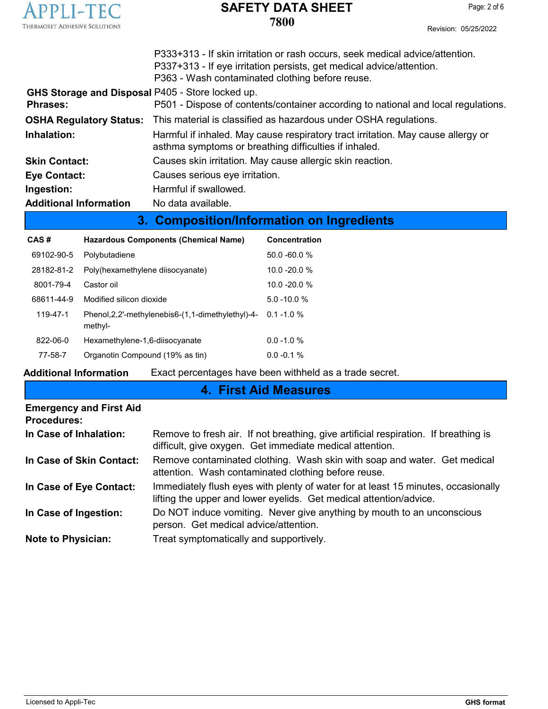

**7800**

| Revision: 05/25/2022 |
|----------------------|
|                      |

|                                                                     | P333+313 - If skin irritation or rash occurs, seek medical advice/attention.<br>P337+313 - If eye irritation persists, get medical advice/attention.<br>P363 - Wash contaminated clothing before reuse. |
|---------------------------------------------------------------------|---------------------------------------------------------------------------------------------------------------------------------------------------------------------------------------------------------|
| GHS Storage and Disposal P405 - Store locked up.<br><b>Phrases:</b> | P501 - Dispose of contents/container according to national and local regulations.                                                                                                                       |
|                                                                     | <b>OSHA Regulatory Status:</b> This material is classified as hazardous under OSHA regulations.                                                                                                         |
| Inhalation:                                                         | Harmful if inhaled. May cause respiratory tract irritation. May cause allergy or<br>asthma symptoms or breathing difficulties if inhaled.                                                               |
| <b>Skin Contact:</b>                                                | Causes skin irritation. May cause allergic skin reaction.                                                                                                                                               |
| <b>Eye Contact:</b>                                                 | Causes serious eye irritation.                                                                                                                                                                          |
| Ingestion:                                                          | Harmful if swallowed.                                                                                                                                                                                   |
| <b>Additional Information</b>                                       | No data available.                                                                                                                                                                                      |

# **3. Composition/Information on Ingredients**

| CAS#       | Hazardous Components (Chemical Name)                            | Concentration   |
|------------|-----------------------------------------------------------------|-----------------|
| 69102-90-5 | Polybutadiene                                                   | $50.0 - 60.0 %$ |
| 28182-81-2 | Poly(hexamethylene diisocyanate)                                | $10.0 - 20.0 %$ |
| 8001-79-4  | Castor oil                                                      | $10.0 - 20.0 %$ |
| 68611-44-9 | Modified silicon dioxide                                        | $5.0 - 10.0 %$  |
| 119-47-1   | Phenol, 2, 2'-methylenebis 6-(1, 1-dimethylethyl)-4-<br>methyl- | $0.1 - 1.0 %$   |
| 822-06-0   | Hexamethylene-1,6-diisocyanate                                  | $0.0 - 1.0 %$   |
| 77-58-7    | Organotin Compound (19% as tin)                                 | $0.0 - 0.1 %$   |

**Additional Information** Exact percentages have been withheld as a trade secret.

# **4. First Aid Measures**

| <b>Emergency and First Aid</b><br><b>Procedures:</b> |                                                                                                                                                         |
|------------------------------------------------------|---------------------------------------------------------------------------------------------------------------------------------------------------------|
| In Case of Inhalation:                               | Remove to fresh air. If not breathing, give artificial respiration. If breathing is<br>difficult, give oxygen. Get immediate medical attention.         |
| In Case of Skin Contact:                             | Remove contaminated clothing. Wash skin with soap and water. Get medical<br>attention. Wash contaminated clothing before reuse.                         |
| In Case of Eye Contact:                              | Immediately flush eyes with plenty of water for at least 15 minutes, occasionally<br>lifting the upper and lower eyelids. Get medical attention/advice. |
| In Case of Ingestion:                                | Do NOT induce vomiting. Never give anything by mouth to an unconscious<br>person. Get medical advice/attention.                                         |
| <b>Note to Physician:</b>                            | Treat symptomatically and supportively.                                                                                                                 |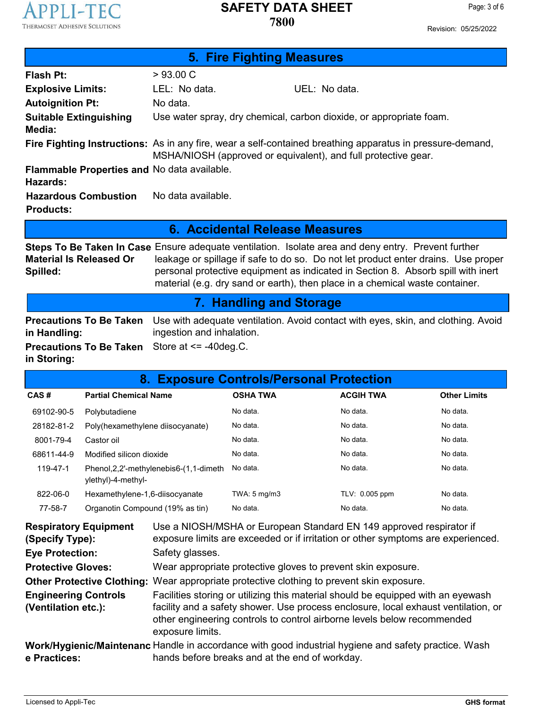Page: 3 of 6

Revision: 05/25/2022

| 5. Fire Fighting Measures                                      |                                                                                                                                                                             |                                                                                                                                                                                                                                                                                                                                                                     |  |  |
|----------------------------------------------------------------|-----------------------------------------------------------------------------------------------------------------------------------------------------------------------------|---------------------------------------------------------------------------------------------------------------------------------------------------------------------------------------------------------------------------------------------------------------------------------------------------------------------------------------------------------------------|--|--|
| Flash Pt:                                                      | $>93.00 \text{ C}$                                                                                                                                                          |                                                                                                                                                                                                                                                                                                                                                                     |  |  |
| <b>Explosive Limits:</b>                                       | LEL: No data.                                                                                                                                                               | UEL: No data.                                                                                                                                                                                                                                                                                                                                                       |  |  |
| <b>Autoignition Pt:</b>                                        | No data.                                                                                                                                                                    |                                                                                                                                                                                                                                                                                                                                                                     |  |  |
| <b>Suitable Extinguishing</b><br>Media:                        |                                                                                                                                                                             | Use water spray, dry chemical, carbon dioxide, or appropriate foam.                                                                                                                                                                                                                                                                                                 |  |  |
|                                                                | Fire Fighting Instructions: As in any fire, wear a self-contained breathing apparatus in pressure-demand,<br>MSHA/NIOSH (approved or equivalent), and full protective gear. |                                                                                                                                                                                                                                                                                                                                                                     |  |  |
| <b>Flammable Properties and No data available.</b><br>Hazards: |                                                                                                                                                                             |                                                                                                                                                                                                                                                                                                                                                                     |  |  |
| <b>Hazardous Combustion</b><br><b>Products:</b>                | No data available.                                                                                                                                                          |                                                                                                                                                                                                                                                                                                                                                                     |  |  |
| 6. Accidental Release Measures                                 |                                                                                                                                                                             |                                                                                                                                                                                                                                                                                                                                                                     |  |  |
| <b>Material Is Released Or</b><br>Spilled:                     |                                                                                                                                                                             | <b>Steps To Be Taken In Case</b> Ensure adequate ventilation. Isolate area and deny entry. Prevent further<br>leakage or spillage if safe to do so. Do not let product enter drains. Use proper<br>personal protective equipment as indicated in Section 8. Absorb spill with inert<br>material (e.g. dry sand or earth), then place in a chemical waste container. |  |  |

# **7. Handling and Storage**

|                                                                          | <b>Precautions To Be Taken</b> Use with adequate ventilation. Avoid contact with eyes, skin, and clothing. Avoid |
|--------------------------------------------------------------------------|------------------------------------------------------------------------------------------------------------------|
| in Handling:                                                             | ingestion and inhalation.                                                                                        |
| <b>Precautions To Be Taken</b> Store at $\le$ -40 deg. C.<br>in Storing: |                                                                                                                  |

| <b>Exposure Controls/Personal Protection</b><br>8. |                                                                 |                 |                  |                     |
|----------------------------------------------------|-----------------------------------------------------------------|-----------------|------------------|---------------------|
| CAS#                                               | <b>Partial Chemical Name</b>                                    | <b>OSHA TWA</b> | <b>ACGIH TWA</b> | <b>Other Limits</b> |
| 69102-90-5                                         | Polybutadiene                                                   | No data.        | No data.         | No data.            |
| 28182-81-2                                         | Poly(hexamethylene diisocyanate)                                | No data.        | No data.         | No data.            |
| 8001-79-4                                          | Castor oil                                                      | No data.        | No data.         | No data.            |
| 68611-44-9                                         | Modified silicon dioxide                                        | No data.        | No data.         | No data.            |
| 119-47-1                                           | Phenol, 2, 2'-methylenebis 6-(1, 1-dimeth<br>ylethyl)-4-methyl- | No data.        | No data.         | No data.            |
| 822-06-0                                           | Hexamethylene-1,6-diisocyanate                                  | TWA: 5 mg/m3    | TLV: 0.005 ppm   | No data.            |
| 77-58-7                                            | Organotin Compound (19% as tin)                                 | No data.        | No data.         | No data.            |

| <b>Respiratory Equipment</b><br>(Specify Type):    | Use a NIOSH/MSHA or European Standard EN 149 approved respirator if<br>exposure limits are exceeded or if irritation or other symptoms are experienced.                                                                                                               |
|----------------------------------------------------|-----------------------------------------------------------------------------------------------------------------------------------------------------------------------------------------------------------------------------------------------------------------------|
| <b>Eye Protection:</b>                             | Safety glasses.                                                                                                                                                                                                                                                       |
| <b>Protective Gloves:</b>                          | Wear appropriate protective gloves to prevent skin exposure.                                                                                                                                                                                                          |
|                                                    | <b>Other Protective Clothing:</b> Wear appropriate protective clothing to prevent skin exposure.                                                                                                                                                                      |
| <b>Engineering Controls</b><br>(Ventilation etc.): | Facilities storing or utilizing this material should be equipped with an eyewash<br>facility and a safety shower. Use process enclosure, local exhaust ventilation, or<br>other engineering controls to control airborne levels below recommended<br>exposure limits. |
| e Practices:                                       | Work/Hygienic/Maintenanc Handle in accordance with good industrial hygiene and safety practice. Wash<br>hands before breaks and at the end of workday.                                                                                                                |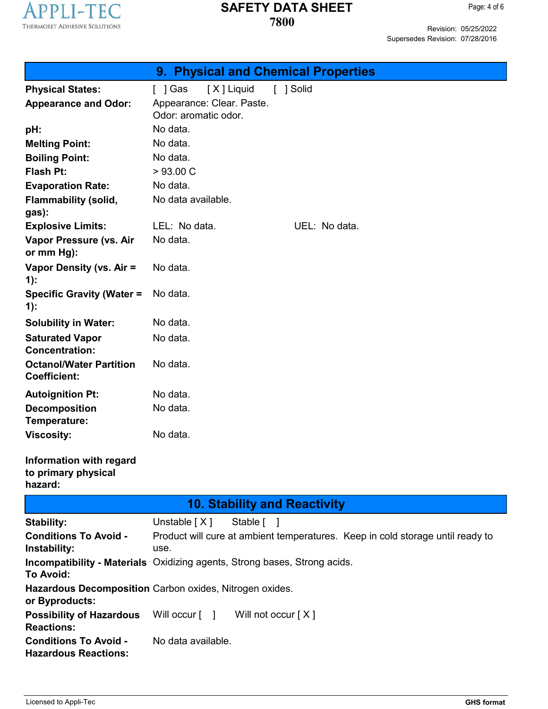

Page: 4 of 6

Revision: 05/25/2022 Supersedes Revision: 07/28/2016

| 9. Physical and Chemical Properties                         |                                                                                        |  |  |  |
|-------------------------------------------------------------|----------------------------------------------------------------------------------------|--|--|--|
| <b>Physical States:</b>                                     | [X] Liquid<br>[ ] Gas<br>[ ] Solid                                                     |  |  |  |
| <b>Appearance and Odor:</b>                                 | Appearance: Clear. Paste.<br>Odor: aromatic odor.                                      |  |  |  |
| pH:                                                         | No data.                                                                               |  |  |  |
| <b>Melting Point:</b>                                       | No data.                                                                               |  |  |  |
| <b>Boiling Point:</b>                                       | No data.                                                                               |  |  |  |
| <b>Flash Pt:</b>                                            | >93.00 C                                                                               |  |  |  |
| <b>Evaporation Rate:</b>                                    | No data.                                                                               |  |  |  |
| <b>Flammability (solid,</b><br>gas):                        | No data available.                                                                     |  |  |  |
| <b>Explosive Limits:</b>                                    | LEL: No data.<br>UEL: No data.                                                         |  |  |  |
| Vapor Pressure (vs. Air<br>or mm Hg):                       | No data.                                                                               |  |  |  |
| Vapor Density (vs. Air =<br>$1)$ :                          | No data.                                                                               |  |  |  |
| <b>Specific Gravity (Water =</b><br>$1)$ :                  | No data.                                                                               |  |  |  |
| <b>Solubility in Water:</b>                                 | No data.                                                                               |  |  |  |
| <b>Saturated Vapor</b><br><b>Concentration:</b>             | No data.                                                                               |  |  |  |
| <b>Octanol/Water Partition</b><br><b>Coefficient:</b>       | No data.                                                                               |  |  |  |
| <b>Autoignition Pt:</b>                                     | No data.                                                                               |  |  |  |
| <b>Decomposition</b><br>Temperature:                        | No data.                                                                               |  |  |  |
| <b>Viscosity:</b>                                           | No data.                                                                               |  |  |  |
| Information with regard<br>to primary physical<br>hazard:   |                                                                                        |  |  |  |
|                                                             | <b>10. Stability and Reactivity</b>                                                    |  |  |  |
| <b>Stability:</b>                                           | Unstable $[X]$<br>Stable [ ]                                                           |  |  |  |
| <b>Conditions To Avoid -</b><br>Instability:                | Product will cure at ambient temperatures. Keep in cold storage until ready to<br>use. |  |  |  |
| <b>To Avoid:</b>                                            | <b>Incompatibility - Materials</b> Oxidizing agents, Strong bases, Strong acids.       |  |  |  |
| or Byproducts:                                              | Hazardous Decomposition Carbon oxides, Nitrogen oxides.                                |  |  |  |
| <b>Possibility of Hazardous</b><br><b>Reactions:</b>        | Will occur [ ] Will not occur [X]                                                      |  |  |  |
| <b>Conditions To Avoid -</b><br><b>Hazardous Reactions:</b> | No data available.                                                                     |  |  |  |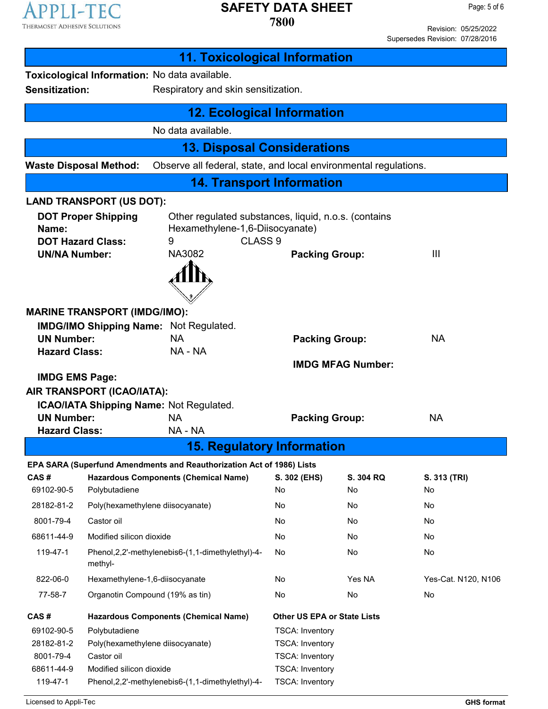

Revision: 05/25/2022 Supersedes Revision: 07/28/2016

|                                                                                                                                                                                                                                                                                                                                                                                                              |                                                                                                                                                       | <b>11. Toxicological Information</b>                                                                                         |                                                                                                                                |                                                |                                             |
|--------------------------------------------------------------------------------------------------------------------------------------------------------------------------------------------------------------------------------------------------------------------------------------------------------------------------------------------------------------------------------------------------------------|-------------------------------------------------------------------------------------------------------------------------------------------------------|------------------------------------------------------------------------------------------------------------------------------|--------------------------------------------------------------------------------------------------------------------------------|------------------------------------------------|---------------------------------------------|
| <b>Sensitization:</b>                                                                                                                                                                                                                                                                                                                                                                                        | Toxicological Information: No data available.<br>Respiratory and skin sensitization.                                                                  |                                                                                                                              |                                                                                                                                |                                                |                                             |
|                                                                                                                                                                                                                                                                                                                                                                                                              |                                                                                                                                                       | <b>12. Ecological Information</b>                                                                                            |                                                                                                                                |                                                |                                             |
|                                                                                                                                                                                                                                                                                                                                                                                                              |                                                                                                                                                       | No data available.                                                                                                           |                                                                                                                                |                                                |                                             |
|                                                                                                                                                                                                                                                                                                                                                                                                              |                                                                                                                                                       | <b>13. Disposal Considerations</b>                                                                                           |                                                                                                                                |                                                |                                             |
|                                                                                                                                                                                                                                                                                                                                                                                                              | <b>Waste Disposal Method:</b>                                                                                                                         | Observe all federal, state, and local environmental regulations.                                                             |                                                                                                                                |                                                |                                             |
|                                                                                                                                                                                                                                                                                                                                                                                                              |                                                                                                                                                       | <b>14. Transport Information</b>                                                                                             |                                                                                                                                |                                                |                                             |
|                                                                                                                                                                                                                                                                                                                                                                                                              | <b>LAND TRANSPORT (US DOT):</b>                                                                                                                       |                                                                                                                              |                                                                                                                                |                                                |                                             |
| <b>DOT Proper Shipping</b><br>Other regulated substances, liquid, n.o.s. (contains<br>Hexamethylene-1,6-Diisocyanate)<br>Name:<br>CLASS <sub>9</sub><br><b>DOT Hazard Class:</b><br>9<br>NA3082<br><b>UN/NA Number:</b><br>$\mathbf{III}$<br><b>Packing Group:</b>                                                                                                                                           |                                                                                                                                                       |                                                                                                                              |                                                                                                                                |                                                |                                             |
| <b>MARINE TRANSPORT (IMDG/IMO):</b><br><b>IMDG/IMO Shipping Name: Not Regulated.</b><br><b>UN Number:</b><br><b>NA</b><br><b>NA</b><br><b>Packing Group:</b><br>NA - NA<br><b>Hazard Class:</b><br><b>IMDG MFAG Number:</b><br><b>IMDG EMS Page:</b><br>AIR TRANSPORT (ICAO/IATA):<br><b>ICAO/IATA Shipping Name: Not Regulated.</b><br><b>UN Number:</b><br><b>NA</b><br><b>NA</b><br><b>Packing Group:</b> |                                                                                                                                                       |                                                                                                                              |                                                                                                                                |                                                |                                             |
| <b>Hazard Class:</b>                                                                                                                                                                                                                                                                                                                                                                                         |                                                                                                                                                       | NA - NA<br><b>15. Regulatory Information</b>                                                                                 |                                                                                                                                |                                                |                                             |
|                                                                                                                                                                                                                                                                                                                                                                                                              |                                                                                                                                                       |                                                                                                                              |                                                                                                                                |                                                |                                             |
| CAS#<br>69102-90-5<br>28182-81-2<br>8001-79-4<br>68611-44-9<br>119-47-1                                                                                                                                                                                                                                                                                                                                      | <b>Hazardous Components (Chemical Name)</b><br>Polybutadiene<br>Poly(hexamethylene diisocyanate)<br>Castor oil<br>Modified silicon dioxide<br>methyl- | EPA SARA (Superfund Amendments and Reauthorization Act of 1986) Lists<br>Phenol, 2, 2'-methylenebis6-(1, 1-dimethylethyl)-4- | S. 302 (EHS)<br>No<br>No<br>No<br>No<br>No                                                                                     | S. 304 RQ<br>No<br>No<br>No<br><b>No</b><br>No | S. 313 (TRI)<br>No<br>No<br>No<br>No.<br>No |
| 822-06-0                                                                                                                                                                                                                                                                                                                                                                                                     | Hexamethylene-1,6-diisocyanate                                                                                                                        |                                                                                                                              | No                                                                                                                             | Yes NA                                         | Yes-Cat. N120, N106                         |
| 77-58-7                                                                                                                                                                                                                                                                                                                                                                                                      | Organotin Compound (19% as tin)                                                                                                                       |                                                                                                                              | No                                                                                                                             | No                                             | No                                          |
| CAS#                                                                                                                                                                                                                                                                                                                                                                                                         | <b>Hazardous Components (Chemical Name)</b><br><b>Other US EPA or State Lists</b>                                                                     |                                                                                                                              |                                                                                                                                |                                                |                                             |
| 69102-90-5<br>28182-81-2<br>8001-79-4<br>68611-44-9<br>119-47-1                                                                                                                                                                                                                                                                                                                                              | Polybutadiene<br>Poly(hexamethylene diisocyanate)<br>Castor oil<br>Modified silicon dioxide                                                           | Phenol, 2, 2'-methylenebis6-(1, 1-dimethylethyl)-4-                                                                          | <b>TSCA: Inventory</b><br><b>TSCA: Inventory</b><br><b>TSCA: Inventory</b><br><b>TSCA: Inventory</b><br><b>TSCA: Inventory</b> |                                                |                                             |